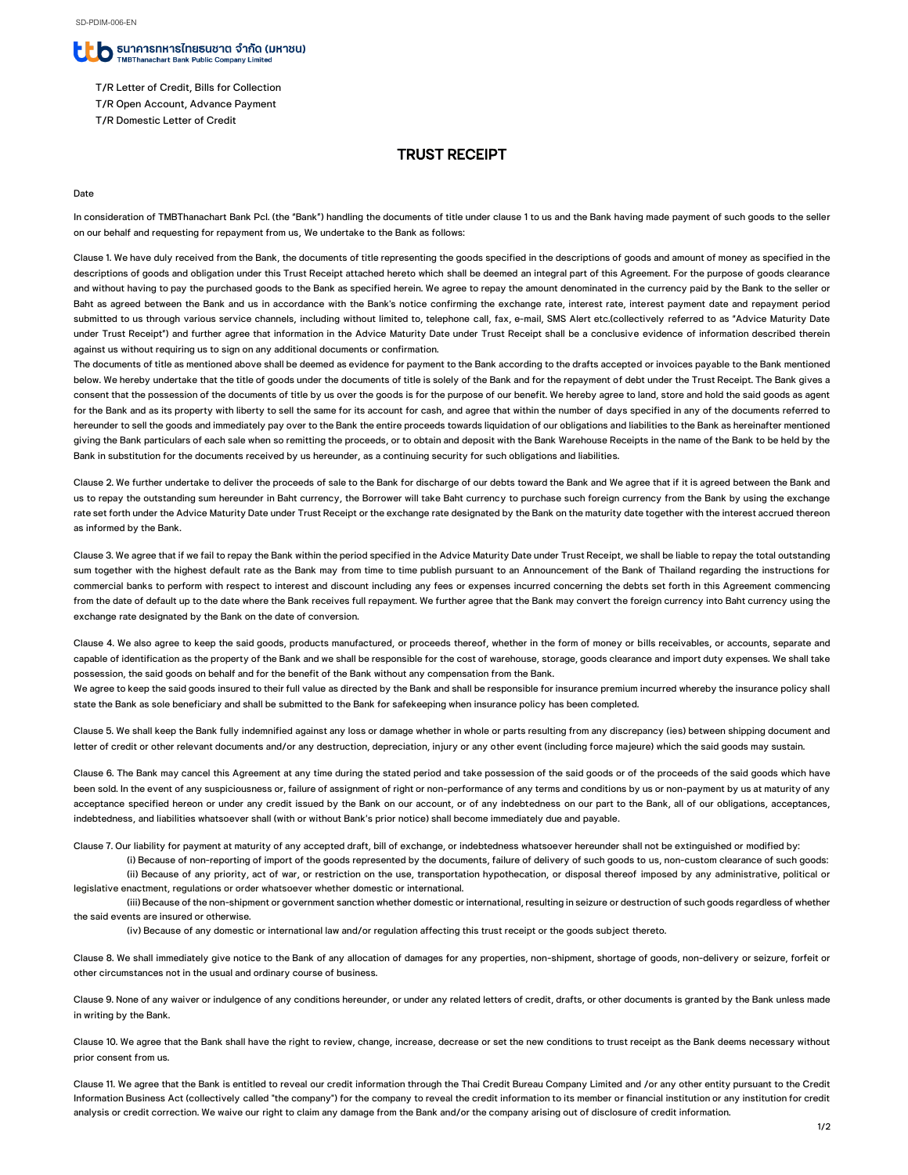### ื่ D รินาคารทหารไทยรนชาต จำกัด (มหาชน) MBThanachart Bank Public Company Limited

- T/R Letter of Credit, Bills for Collection
- T/R Open Account, Advance Payment
- T/R Domestic Letter of Credit

# TRUST RECEIPT

#### Date

In consideration of TMBThanachart Bank Pcl. (the "Bank") handling the documents of title under clause 1 to us and the Bank having made payment of such goods to the seller on our behalf and requesting for repayment from us, We undertake to the Bank as follows:

Clause 1. We have duly received from the Bank, the documents of title representing the goods specified in the descriptions of goods and amount of money as specified in the descriptions of goods and obligation under this Trust Receipt attached hereto which shall be deemed an integral part of this Agreement. For the purpose of goods clearance and without having to pay the purchased goods to the Bank as specified herein. We agree to repay the amount denominated in the currency paid by the Bank to the seller or Baht as agreed between the Bank and us in accordance with the Bank's notice confirming the exchange rate, interest rate, interest payment date and repayment period submitted to us through various service channels, including without limited to, telephone call, fax, e-mail, SMS Alert etc.(collectively referred to as "Advice Maturity Date under Trust Receipt") and further agree that information in the Advice Maturity Date under Trust Receipt shall be a conclusive evidence of information described therein against us without requiring us to sign on any additional documents or confirmation.

The documents of title as mentioned above shall be deemed as evidence for payment to the Bank according to the drafts accepted or invoices payable to the Bank mentioned below. We hereby undertake that the title of goods under the documents of title is solely of the Bank and for the repayment of debt under the Trust Receipt. The Bank gives a consent that the possession of the documents of title by us over the goods is for the purpose of our benefit. We hereby agree to land, store and hold the said goods as agent for the Bank and as its property with liberty to sell the same for its account for cash, and agree that within the number of days specified in any of the documents referred to hereunder to sell the goods and immediately pay over to the Bank the entire proceeds towards liquidation of our obligations and liabilities to the Bank as hereinafter mentioned giving the Bank particulars of each sale when so remitting the proceeds, or to obtain and deposit with the Bank Warehouse Receipts in the name of the Bank to be held by the Bank in substitution for the documents received by us hereunder, as a continuing security for such obligations and liabilities.

Clause 2. We further undertake to deliver the proceeds of sale to the Bank for discharge of our debts toward the Bank and We agree that if it is agreed between the Bank and us to repay the outstanding sum hereunder in Baht currency, the Borrower will take Baht currency to purchase such foreign currency from the Bank by using the exchange rate set forth under the Advice Maturity Date under Trust Receipt or the exchange rate designated by the Bank on the maturity date together with the interest accrued thereon as informed by the Bank.

Clause 3. We agree that if we fail to repay the Bank within the period specified in the Advice Maturity Date under Trust Receipt, we shall be liable to repay the total outstanding sum together with the highest default rate as the Bank may from time to time publish pursuant to an Announcement of the Bank of Thailand regarding the instructions for commercial banks to perform with respect to interest and discount including any fees or expenses incurred concerning the debts set forth in this Agreement commencing from the date of default up to the date where the Bank receives full repayment. We further agree that the Bank may convert the foreign currency into Baht currency using the exchange rate designated by the Bank on the date of conversion.

Clause 4. We also agree to keep the said goods, products manufactured, or proceeds thereof, whether in the form of money or bills receivables, or accounts, separate and capable of identification as the property of the Bank and we shall be responsible for the cost of warehouse, storage, goods clearance and import duty expenses. We shall take possession, the said goods on behalf and for the benefit of the Bank without any compensation from the Bank.

We agree to keep the said goods insured to their full value as directed by the Bank and shall be responsible for insurance premium incurred whereby the insurance policy shall state the Bank as sole beneficiary and shall be submitted to the Bank for safekeeping when insurance policy has been completed.

Clause 5. We shall keep the Bank fully indemnified against any loss or damage whether in whole or parts resulting from any discrepancy (ies) between shipping document and letter of credit or other relevant documents and/or any destruction, depreciation, injury or any other event (including force majeure) which the said goods may sustain.

Clause 6. The Bank may cancel this Agreement at any time during the stated period and take possession of the said goods or of the proceeds of the said goods which have been sold. In the event of any suspiciousness or, failure of assignment of right or non-performance of any terms and conditions by us or non-payment by us at maturity of any acceptance specified hereon or under any credit issued by the Bank on our account, or of any indebtedness on our part to the Bank, all of our obligations, acceptances, indebtedness, and liabilities whatsoever shall (with or without Bank's prior notice) shall become immediately due and payable.

Clause 7. Our liability for payment at maturity of any accepted draft, bill of exchange, or indebtedness whatsoever hereunder shall not be extinguished or modified by:

(i) Because of non-reporting of import of the goods represented by the documents, failure of delivery of such goods to us, non-custom clearance of such goods: (ii) Because of any priority, act of war, or restriction on the use, transportation hypothecation, or disposal thereof imposed by any administrative, political or legislative enactment, regulations or order whatsoever whether domestic or international.

(iii) Because of the non-shipment or government sanction whether domestic or international, resulting in seizure or destruction of such goods regardless of whether the said events are insured or otherwise.

(iv) Because of any domestic or international law and/or regulation affecting this trust receipt or the goods subject thereto.

Clause 8. We shall immediately give notice to the Bank of any allocation of damages for any properties, non-shipment, shortage of goods, non-delivery or seizure, forfeit or other circumstances not in the usual and ordinary course of business.

Clause 9. None of any waiver or indulgence of any conditions hereunder, or under any related letters of credit, drafts, or other documents is granted by the Bank unless made in writing by the Bank.

Clause 10. We agree that the Bank shall have the right to review, change, increase, decrease or set the new conditions to trust receipt as the Bank deems necessary without prior consent from us.

Clause 11. We agree that the Bank is entitled to reveal our credit information through the Thai Credit Bureau Company Limited and /or any other entity pursuant to the Credit Information Business Act (collectively called "the company") for the company to reveal the credit information to its member or financial institution or any institution for credit analysis or credit correction. We waive our right to claim any damage from the Bank and/or the company arising out of disclosure of credit information.